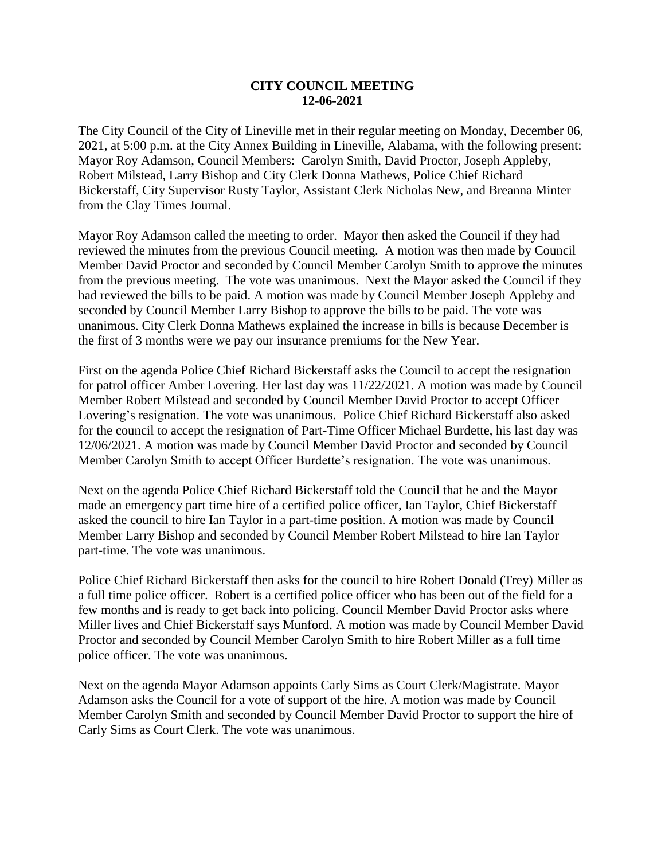## **CITY COUNCIL MEETING 12-06-2021**

The City Council of the City of Lineville met in their regular meeting on Monday, December 06, 2021, at 5:00 p.m. at the City Annex Building in Lineville, Alabama, with the following present: Mayor Roy Adamson, Council Members: Carolyn Smith, David Proctor, Joseph Appleby, Robert Milstead, Larry Bishop and City Clerk Donna Mathews, Police Chief Richard Bickerstaff, City Supervisor Rusty Taylor, Assistant Clerk Nicholas New, and Breanna Minter from the Clay Times Journal.

Mayor Roy Adamson called the meeting to order. Mayor then asked the Council if they had reviewed the minutes from the previous Council meeting. A motion was then made by Council Member David Proctor and seconded by Council Member Carolyn Smith to approve the minutes from the previous meeting. The vote was unanimous. Next the Mayor asked the Council if they had reviewed the bills to be paid. A motion was made by Council Member Joseph Appleby and seconded by Council Member Larry Bishop to approve the bills to be paid. The vote was unanimous. City Clerk Donna Mathews explained the increase in bills is because December is the first of 3 months were we pay our insurance premiums for the New Year.

First on the agenda Police Chief Richard Bickerstaff asks the Council to accept the resignation for patrol officer Amber Lovering. Her last day was 11/22/2021. A motion was made by Council Member Robert Milstead and seconded by Council Member David Proctor to accept Officer Lovering's resignation. The vote was unanimous. Police Chief Richard Bickerstaff also asked for the council to accept the resignation of Part-Time Officer Michael Burdette, his last day was 12/06/2021. A motion was made by Council Member David Proctor and seconded by Council Member Carolyn Smith to accept Officer Burdette's resignation. The vote was unanimous.

Next on the agenda Police Chief Richard Bickerstaff told the Council that he and the Mayor made an emergency part time hire of a certified police officer, Ian Taylor, Chief Bickerstaff asked the council to hire Ian Taylor in a part-time position. A motion was made by Council Member Larry Bishop and seconded by Council Member Robert Milstead to hire Ian Taylor part-time. The vote was unanimous.

Police Chief Richard Bickerstaff then asks for the council to hire Robert Donald (Trey) Miller as a full time police officer. Robert is a certified police officer who has been out of the field for a few months and is ready to get back into policing. Council Member David Proctor asks where Miller lives and Chief Bickerstaff says Munford. A motion was made by Council Member David Proctor and seconded by Council Member Carolyn Smith to hire Robert Miller as a full time police officer. The vote was unanimous.

Next on the agenda Mayor Adamson appoints Carly Sims as Court Clerk/Magistrate. Mayor Adamson asks the Council for a vote of support of the hire. A motion was made by Council Member Carolyn Smith and seconded by Council Member David Proctor to support the hire of Carly Sims as Court Clerk. The vote was unanimous.